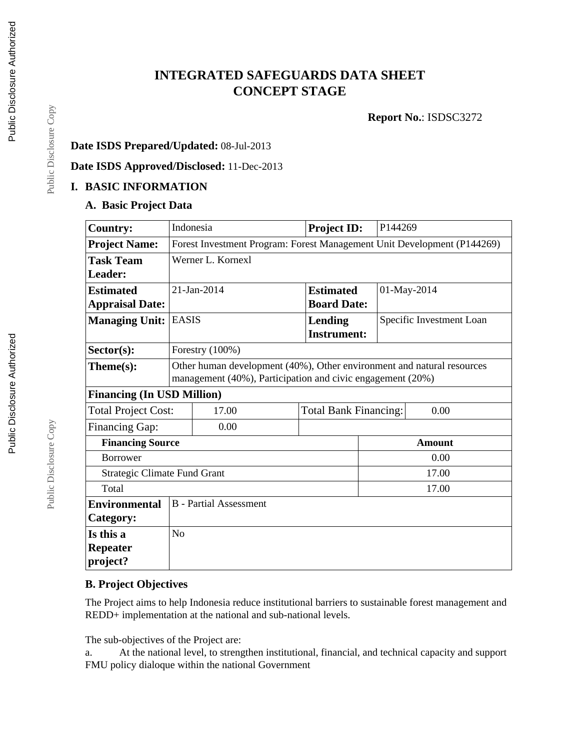# **INTEGRATED SAFEGUARDS DATA SHEET CONCEPT STAGE**

**Report No.**: ISDSC3272

## **Date ISDS Prepared/Updated:** 08-Jul-2013

**Date ISDS Approved/Disclosed:** 11-Dec-2013

### **I. BASIC INFORMATION**

#### **A. Basic Project Data**

| <b>Country:</b>                     |                                                                                                                                      | Indonesia | <b>Project ID:</b> | P144269 |                          |
|-------------------------------------|--------------------------------------------------------------------------------------------------------------------------------------|-----------|--------------------|---------|--------------------------|
| <b>Project Name:</b>                | Forest Investment Program: Forest Management Unit Development (P144269)                                                              |           |                    |         |                          |
| <b>Task Team</b>                    | Werner L. Kornexl                                                                                                                    |           |                    |         |                          |
| Leader:                             |                                                                                                                                      |           |                    |         |                          |
| <b>Estimated</b>                    | 21-Jan-2014                                                                                                                          |           | <b>Estimated</b>   |         | 01-May-2014              |
| <b>Appraisal Date:</b>              |                                                                                                                                      |           | <b>Board Date:</b> |         |                          |
| <b>Managing Unit:</b>               | <b>EASIS</b>                                                                                                                         |           | <b>Lending</b>     |         | Specific Investment Loan |
|                                     |                                                                                                                                      |           | <b>Instrument:</b> |         |                          |
| $Sector(s)$ :                       | Forestry (100%)                                                                                                                      |           |                    |         |                          |
| $Thene(s):$                         | Other human development (40%), Other environment and natural resources<br>management (40%), Participation and civic engagement (20%) |           |                    |         |                          |
| <b>Financing (In USD Million)</b>   |                                                                                                                                      |           |                    |         |                          |
| <b>Total Project Cost:</b>          | 17.00<br><b>Total Bank Financing:</b><br>0.00                                                                                        |           |                    |         |                          |
| Financing Gap:                      |                                                                                                                                      | 0.00      |                    |         |                          |
| <b>Financing Source</b>             |                                                                                                                                      |           | <b>Amount</b>      |         |                          |
| <b>Borrower</b>                     |                                                                                                                                      |           |                    | 0.00    |                          |
| <b>Strategic Climate Fund Grant</b> |                                                                                                                                      |           | 17.00              |         |                          |
| Total                               |                                                                                                                                      |           |                    | 17.00   |                          |
| <b>Environmental</b>                | <b>B</b> - Partial Assessment                                                                                                        |           |                    |         |                          |
| Category:                           |                                                                                                                                      |           |                    |         |                          |
| Is this a                           | No                                                                                                                                   |           |                    |         |                          |
| <b>Repeater</b>                     |                                                                                                                                      |           |                    |         |                          |
| project?                            |                                                                                                                                      |           |                    |         |                          |

## **B. Project Objectives**

The Project aims to help Indonesia reduce institutional barriers to sustainable forest management and REDD+ implementation at the national and sub-national levels.

The sub-objectives of the Project are:

a. At the national level, to strengthen institutional, financial, and technical capacity and support FMU policy dialoque within the national Government

Public Disclosure Copy

Public Disclosure Copy

Public Disclosure Copy

Public Disclosure Copy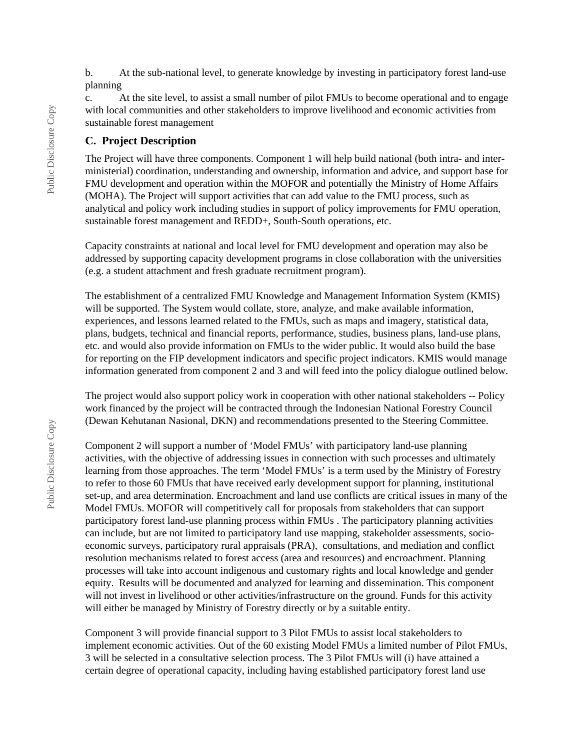b. At the sub-national level, to generate knowledge by investing in participatory forest land-use planning

c. At the site level, to assist a small number of pilot FMUs to become operational and to engage with local communities and other stakeholders to improve livelihood and economic activities from sustainable forest management

#### **C. Project Description**

The Project will have three components. Component 1 will help build national (both intra- and interministerial) coordination, understanding and ownership, information and advice, and support base for FMU development and operation within the MOFOR and potentially the Ministry of Home Affairs (MOHA). The Project will support activities that can add value to the FMU process, such as analytical and policy work including studies in support of policy improvements for FMU operation, sustainable forest management and REDD+, South-South operations, etc.

Capacity constraints at national and local level for FMU development and operation may also be addressed by supporting capacity development programs in close collaboration with the universities (e.g. a student attachment and fresh graduate recruitment program).

The establishment of a centralized FMU Knowledge and Management Information System (KMIS) will be supported. The System would collate, store, analyze, and make available information, experiences, and lessons learned related to the FMUs, such as maps and imagery, statistical data, plans, budgets, technical and financial reports, performance, studies, business plans, land-use plans, etc. and would also provide information on FMUs to the wider public. It would also build the base for reporting on the FIP development indicators and specific project indicators. KMIS would manage information generated from component 2 and 3 and will feed into the policy dialogue outlined below.

The project would also support policy work in cooperation with other national stakeholders -- Policy work financed by the project will be contracted through the Indonesian National Forestry Council (Dewan Kehutanan Nasional, DKN) and recommendations presented to the Steering Committee.

Component 2 will support a number of 'Model FMUs' with participatory land-use planning activities, with the objective of addressing issues in connection with such processes and ultimately learning from those approaches. The term 'Model FMUs' is a term used by the Ministry of Forestry to refer to those 60 FMUs that have received early development support for planning, institutional set-up, and area determination. Encroachment and land use conflicts are critical issues in many of the Model FMUs. MOFOR will competitively call for proposals from stakeholders that can support participatory forest land-use planning process within FMUs . The participatory planning activities can include, but are not limited to participatory land use mapping, stakeholder assessments, socioeconomic surveys, participatory rural appraisals (PRA), consultations, and mediation and conflict resolution mechanisms related to forest access (area and resources) and encroachment. Planning processes will take into account indigenous and customary rights and local knowledge and gender equity. Results will be documented and analyzed for learning and dissemination. This component will not invest in livelihood or other activities/infrastructure on the ground. Funds for this activity will either be managed by Ministry of Forestry directly or by a suitable entity.

Component 3 will provide financial support to 3 Pilot FMUs to assist local stakeholders to implement economic activities. Out of the 60 existing Model FMUs a limited number of Pilot FMUs, 3 will be selected in a consultative selection process. The 3 Pilot FMUs will (i) have attained a certain degree of operational capacity, including having established participatory forest land use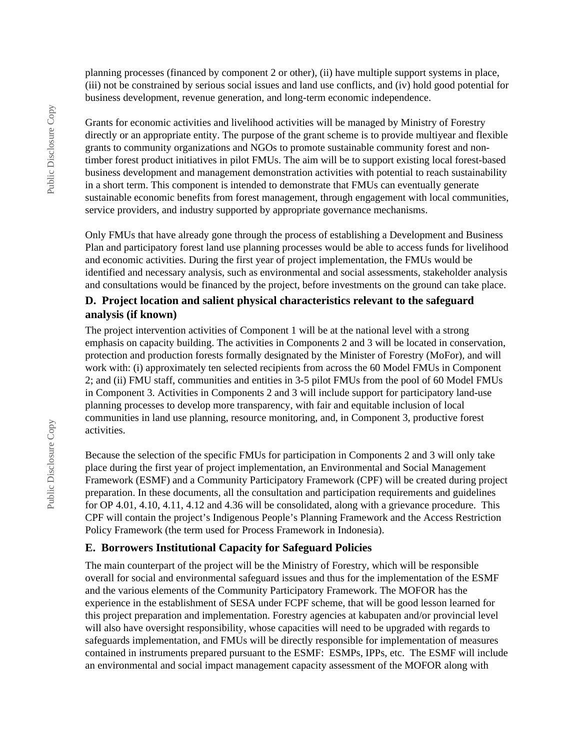planning processes (financed by component 2 or other), (ii) have multiple support systems in place, (iii) not be constrained by serious social issues and land use conflicts, and (iv) hold good potential for business development, revenue generation, and long-term economic independence.

Grants for economic activities and livelihood activities will be managed by Ministry of Forestry directly or an appropriate entity. The purpose of the grant scheme is to provide multiyear and flexible grants to community organizations and NGOs to promote sustainable community forest and nontimber forest product initiatives in pilot FMUs. The aim will be to support existing local forest-based business development and management demonstration activities with potential to reach sustainability in a short term. This component is intended to demonstrate that FMUs can eventually generate sustainable economic benefits from forest management, through engagement with local communities, service providers, and industry supported by appropriate governance mechanisms.

Only FMUs that have already gone through the process of establishing a Development and Business Plan and participatory forest land use planning processes would be able to access funds for livelihood and economic activities. During the first year of project implementation, the FMUs would be identified and necessary analysis, such as environmental and social assessments, stakeholder analysis and consultations would be financed by the project, before investments on the ground can take place.

#### **D. Project location and salient physical characteristics relevant to the safeguard analysis (if known)**

The project intervention activities of Component 1 will be at the national level with a strong emphasis on capacity building. The activities in Components 2 and 3 will be located in conservation, protection and production forests formally designated by the Minister of Forestry (MoFor), and will work with: (i) approximately ten selected recipients from across the 60 Model FMUs in Component 2; and (ii) FMU staff, communities and entities in 3-5 pilot FMUs from the pool of 60 Model FMUs in Component 3. Activities in Components 2 and 3 will include support for participatory land-use planning processes to develop more transparency, with fair and equitable inclusion of local communities in land use planning, resource monitoring, and, in Component 3, productive forest activities.

Because the selection of the specific FMUs for participation in Components 2 and 3 will only take place during the first year of project implementation, an Environmental and Social Management Framework (ESMF) and a Community Participatory Framework (CPF) will be created during project preparation. In these documents, all the consultation and participation requirements and guidelines for OP 4.01, 4.10, 4.11, 4.12 and 4.36 will be consolidated, along with a grievance procedure. This CPF will contain the project's Indigenous People's Planning Framework and the Access Restriction Policy Framework (the term used for Process Framework in Indonesia).

#### **E. Borrowers Institutional Capacity for Safeguard Policies**

The main counterpart of the project will be the Ministry of Forestry, which will be responsible overall for social and environmental safeguard issues and thus for the implementation of the ESMF and the various elements of the Community Participatory Framework. The MOFOR has the experience in the establishment of SESA under FCPF scheme, that will be good lesson learned for this project preparation and implementation. Forestry agencies at kabupaten and/or provincial level will also have oversight responsibility, whose capacities will need to be upgraded with regards to safeguards implementation, and FMUs will be directly responsible for implementation of measures contained in instruments prepared pursuant to the ESMF: ESMPs, IPPs, etc. The ESMF will include an environmental and social impact management capacity assessment of the MOFOR along with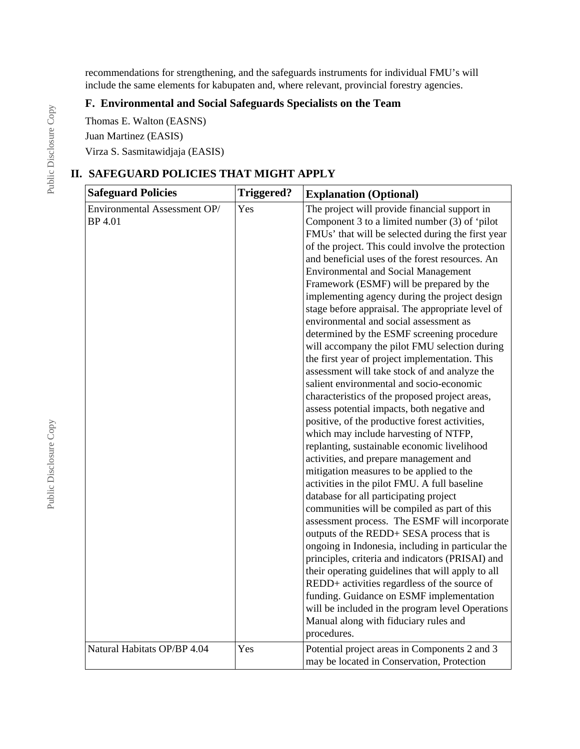recommendations for strengthening, and the safeguards instruments for individual FMU's will include the same elements for kabupaten and, where relevant, provincial forestry agencies.

## **F. Environmental and Social Safeguards Specialists on the Team**

Thomas E. Walton (EASNS)

Juan Martinez (EASIS)

Virza S. Sasmitawidjaja (EASIS)

## **II. SAFEGUARD POLICIES THAT MIGHT APPLY**

| <b>Safeguard Policies</b>                      | <b>Triggered?</b> | <b>Explanation (Optional)</b>                                                                                                                                                                                                                                                                                                                                                                                                                                                                                                                                                                                                                                                                                                                                                                                                                                                                                                                                                                                                                                                                                                                                                                                                                                                                                                                                                                                                                                                                                                                                                                                                                                                          |
|------------------------------------------------|-------------------|----------------------------------------------------------------------------------------------------------------------------------------------------------------------------------------------------------------------------------------------------------------------------------------------------------------------------------------------------------------------------------------------------------------------------------------------------------------------------------------------------------------------------------------------------------------------------------------------------------------------------------------------------------------------------------------------------------------------------------------------------------------------------------------------------------------------------------------------------------------------------------------------------------------------------------------------------------------------------------------------------------------------------------------------------------------------------------------------------------------------------------------------------------------------------------------------------------------------------------------------------------------------------------------------------------------------------------------------------------------------------------------------------------------------------------------------------------------------------------------------------------------------------------------------------------------------------------------------------------------------------------------------------------------------------------------|
| Environmental Assessment OP/<br><b>BP</b> 4.01 | Yes               | The project will provide financial support in<br>Component $3$ to a limited number $(3)$ of 'pilot<br>FMUs' that will be selected during the first year<br>of the project. This could involve the protection<br>and beneficial uses of the forest resources. An<br><b>Environmental and Social Management</b><br>Framework (ESMF) will be prepared by the<br>implementing agency during the project design<br>stage before appraisal. The appropriate level of<br>environmental and social assessment as<br>determined by the ESMF screening procedure<br>will accompany the pilot FMU selection during<br>the first year of project implementation. This<br>assessment will take stock of and analyze the<br>salient environmental and socio-economic<br>characteristics of the proposed project areas,<br>assess potential impacts, both negative and<br>positive, of the productive forest activities,<br>which may include harvesting of NTFP,<br>replanting, sustainable economic livelihood<br>activities, and prepare management and<br>mitigation measures to be applied to the<br>activities in the pilot FMU. A full baseline<br>database for all participating project<br>communities will be compiled as part of this<br>assessment process. The ESMF will incorporate<br>outputs of the REDD+ SESA process that is<br>ongoing in Indonesia, including in particular the<br>principles, criteria and indicators (PRISAI) and<br>their operating guidelines that will apply to all<br>REDD+ activities regardless of the source of<br>funding. Guidance on ESMF implementation<br>will be included in the program level Operations<br>Manual along with fiduciary rules and |
| Natural Habitats OP/BP 4.04                    | Yes               | procedures.<br>Potential project areas in Components 2 and 3<br>may be located in Conservation, Protection                                                                                                                                                                                                                                                                                                                                                                                                                                                                                                                                                                                                                                                                                                                                                                                                                                                                                                                                                                                                                                                                                                                                                                                                                                                                                                                                                                                                                                                                                                                                                                             |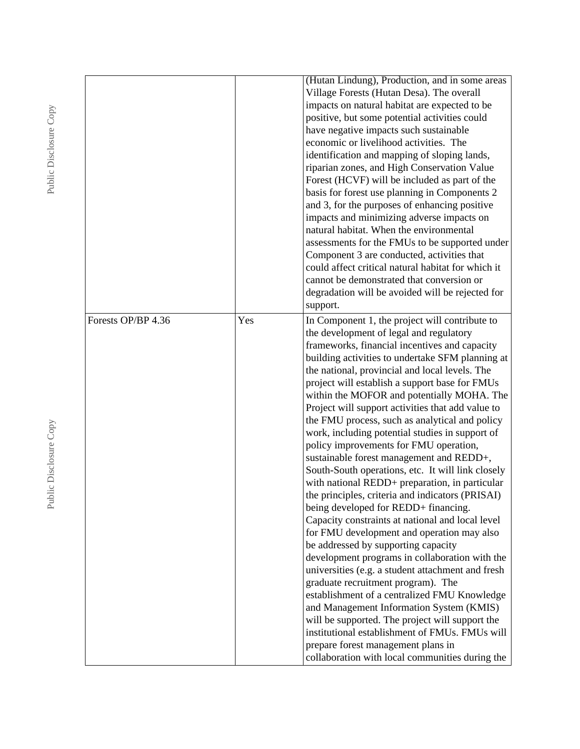|                    |     | (Hutan Lindung), Production, and in some areas<br>Village Forests (Hutan Desa). The overall<br>impacts on natural habitat are expected to be<br>positive, but some potential activities could<br>have negative impacts such sustainable<br>economic or livelihood activities. The<br>identification and mapping of sloping lands,<br>riparian zones, and High Conservation Value<br>Forest (HCVF) will be included as part of the<br>basis for forest use planning in Components 2<br>and 3, for the purposes of enhancing positive<br>impacts and minimizing adverse impacts on<br>natural habitat. When the environmental<br>assessments for the FMUs to be supported under<br>Component 3 are conducted, activities that<br>could affect critical natural habitat for which it<br>cannot be demonstrated that conversion or<br>degradation will be avoided will be rejected for<br>support.                                                                                                                                                                                                                                                                                                                                                                                                                                                                                      |
|--------------------|-----|-------------------------------------------------------------------------------------------------------------------------------------------------------------------------------------------------------------------------------------------------------------------------------------------------------------------------------------------------------------------------------------------------------------------------------------------------------------------------------------------------------------------------------------------------------------------------------------------------------------------------------------------------------------------------------------------------------------------------------------------------------------------------------------------------------------------------------------------------------------------------------------------------------------------------------------------------------------------------------------------------------------------------------------------------------------------------------------------------------------------------------------------------------------------------------------------------------------------------------------------------------------------------------------------------------------------------------------------------------------------------------------|
| Forests OP/BP 4.36 | Yes | In Component 1, the project will contribute to<br>the development of legal and regulatory<br>frameworks, financial incentives and capacity<br>building activities to undertake SFM planning at<br>the national, provincial and local levels. The<br>project will establish a support base for FMUs<br>within the MOFOR and potentially MOHA. The<br>Project will support activities that add value to<br>the FMU process, such as analytical and policy<br>work, including potential studies in support of<br>policy improvements for FMU operation,<br>sustainable forest management and REDD+,<br>South-South operations, etc. It will link closely<br>with national REDD+ preparation, in particular<br>the principles, criteria and indicators (PRISAI)<br>being developed for REDD+ financing.<br>Capacity constraints at national and local level<br>for FMU development and operation may also<br>be addressed by supporting capacity<br>development programs in collaboration with the<br>universities (e.g. a student attachment and fresh<br>graduate recruitment program). The<br>establishment of a centralized FMU Knowledge<br>and Management Information System (KMIS)<br>will be supported. The project will support the<br>institutional establishment of FMUs. FMUs will<br>prepare forest management plans in<br>collaboration with local communities during the |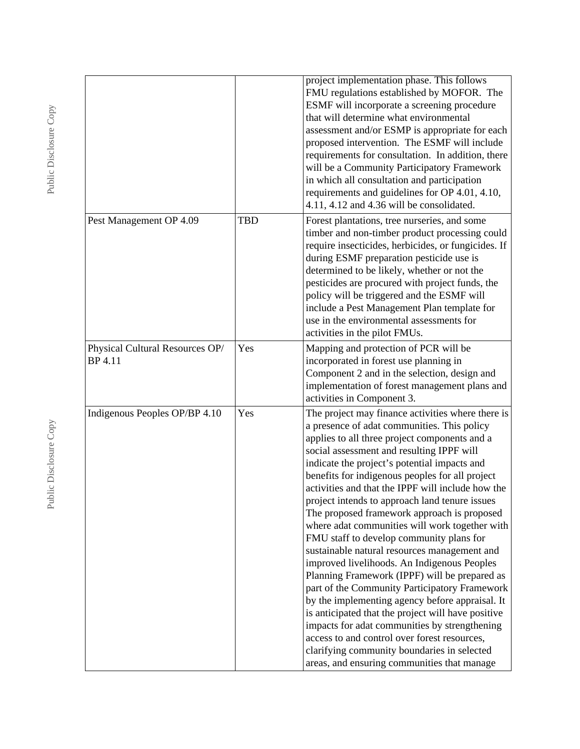|                                                   |            | project implementation phase. This follows<br>FMU regulations established by MOFOR. The<br>ESMF will incorporate a screening procedure<br>that will determine what environmental<br>assessment and/or ESMP is appropriate for each<br>proposed intervention. The ESMF will include<br>requirements for consultation. In addition, there<br>will be a Community Participatory Framework<br>in which all consultation and participation<br>requirements and guidelines for OP 4.01, 4.10,<br>4.11, 4.12 and 4.36 will be consolidated.                                                                                                                                                                                                                                                                                                                                                                                                                                                                                                                           |
|---------------------------------------------------|------------|----------------------------------------------------------------------------------------------------------------------------------------------------------------------------------------------------------------------------------------------------------------------------------------------------------------------------------------------------------------------------------------------------------------------------------------------------------------------------------------------------------------------------------------------------------------------------------------------------------------------------------------------------------------------------------------------------------------------------------------------------------------------------------------------------------------------------------------------------------------------------------------------------------------------------------------------------------------------------------------------------------------------------------------------------------------|
| Pest Management OP 4.09                           | <b>TBD</b> | Forest plantations, tree nurseries, and some<br>timber and non-timber product processing could<br>require insecticides, herbicides, or fungicides. If<br>during ESMF preparation pesticide use is<br>determined to be likely, whether or not the<br>pesticides are procured with project funds, the<br>policy will be triggered and the ESMF will<br>include a Pest Management Plan template for<br>use in the environmental assessments for<br>activities in the pilot FMUs.                                                                                                                                                                                                                                                                                                                                                                                                                                                                                                                                                                                  |
| Physical Cultural Resources OP/<br><b>BP</b> 4.11 | Yes        | Mapping and protection of PCR will be<br>incorporated in forest use planning in<br>Component 2 and in the selection, design and<br>implementation of forest management plans and<br>activities in Component 3.                                                                                                                                                                                                                                                                                                                                                                                                                                                                                                                                                                                                                                                                                                                                                                                                                                                 |
| Indigenous Peoples OP/BP 4.10                     | Yes        | The project may finance activities where there is<br>a presence of adat communities. This policy<br>applies to all three project components and a<br>social assessment and resulting IPPF will<br>indicate the project's potential impacts and<br>benefits for indigenous peoples for all project<br>activities and that the IPPF will include how the<br>project intends to approach land tenure issues<br>The proposed framework approach is proposed<br>where adat communities will work together with<br>FMU staff to develop community plans for<br>sustainable natural resources management and<br>improved livelihoods. An Indigenous Peoples<br>Planning Framework (IPPF) will be prepared as<br>part of the Community Participatory Framework<br>by the implementing agency before appraisal. It<br>is anticipated that the project will have positive<br>impacts for adat communities by strengthening<br>access to and control over forest resources,<br>clarifying community boundaries in selected<br>areas, and ensuring communities that manage |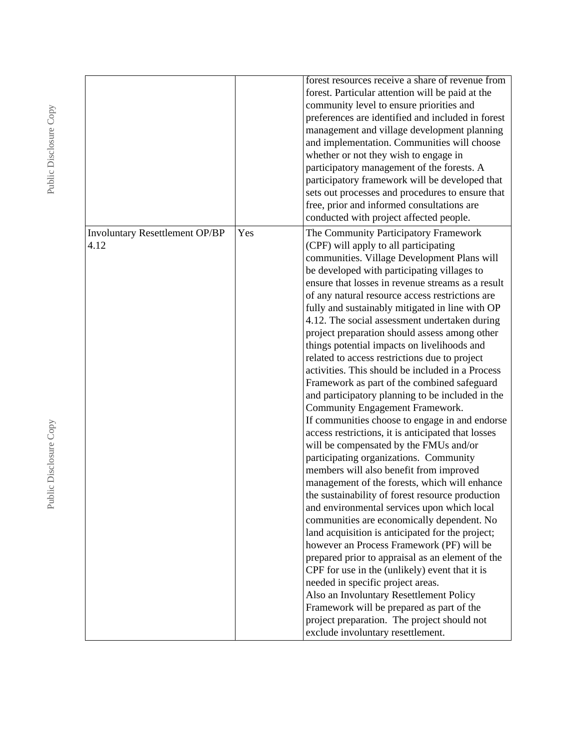|                                               |     | forest resources receive a share of revenue from<br>forest. Particular attention will be paid at the<br>community level to ensure priorities and<br>preferences are identified and included in forest<br>management and village development planning<br>and implementation. Communities will choose<br>whether or not they wish to engage in<br>participatory management of the forests. A<br>participatory framework will be developed that<br>sets out processes and procedures to ensure that<br>free, prior and informed consultations are<br>conducted with project affected people.                                                                                                                                                                                                                                                                                                                                                                                                                                                                                                                                                                                                                                                                                                                                                                                                                                                                                                                                                                                                            |
|-----------------------------------------------|-----|------------------------------------------------------------------------------------------------------------------------------------------------------------------------------------------------------------------------------------------------------------------------------------------------------------------------------------------------------------------------------------------------------------------------------------------------------------------------------------------------------------------------------------------------------------------------------------------------------------------------------------------------------------------------------------------------------------------------------------------------------------------------------------------------------------------------------------------------------------------------------------------------------------------------------------------------------------------------------------------------------------------------------------------------------------------------------------------------------------------------------------------------------------------------------------------------------------------------------------------------------------------------------------------------------------------------------------------------------------------------------------------------------------------------------------------------------------------------------------------------------------------------------------------------------------------------------------------------------|
| <b>Involuntary Resettlement OP/BP</b><br>4.12 | Yes | The Community Participatory Framework<br>(CPF) will apply to all participating<br>communities. Village Development Plans will<br>be developed with participating villages to<br>ensure that losses in revenue streams as a result<br>of any natural resource access restrictions are<br>fully and sustainably mitigated in line with OP<br>4.12. The social assessment undertaken during<br>project preparation should assess among other<br>things potential impacts on livelihoods and<br>related to access restrictions due to project<br>activities. This should be included in a Process<br>Framework as part of the combined safeguard<br>and participatory planning to be included in the<br>Community Engagement Framework.<br>If communities choose to engage in and endorse<br>access restrictions, it is anticipated that losses<br>will be compensated by the FMUs and/or<br>participating organizations. Community<br>members will also benefit from improved<br>management of the forests, which will enhance<br>the sustainability of forest resource production<br>and environmental services upon which local<br>communities are economically dependent. No<br>land acquisition is anticipated for the project;<br>however an Process Framework (PF) will be<br>prepared prior to appraisal as an element of the<br>CPF for use in the (unlikely) event that it is<br>needed in specific project areas.<br>Also an Involuntary Resettlement Policy<br>Framework will be prepared as part of the<br>project preparation. The project should not<br>exclude involuntary resettlement. |

Public Disclosure Copy Public Disclosure Copy

Public Disclosure Copy Public Disclosure Copy